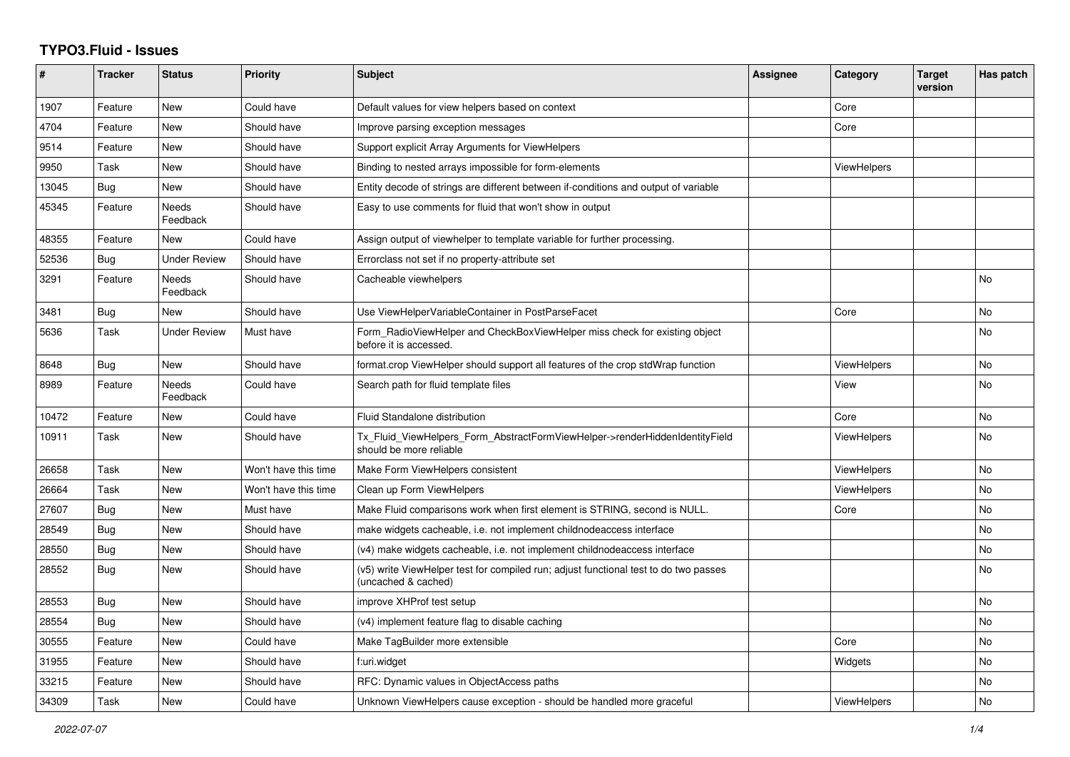## **TYPO3.Fluid - Issues**

| #     | Tracker    | <b>Status</b>            | <b>Priority</b>      | <b>Subject</b>                                                                                              | Assignee | Category           | <b>Target</b><br>version | Has patch |
|-------|------------|--------------------------|----------------------|-------------------------------------------------------------------------------------------------------------|----------|--------------------|--------------------------|-----------|
| 1907  | Feature    | <b>New</b>               | Could have           | Default values for view helpers based on context                                                            |          | Core               |                          |           |
| 4704  | Feature    | <b>New</b>               | Should have          | Improve parsing exception messages                                                                          |          | Core               |                          |           |
| 9514  | Feature    | New                      | Should have          | Support explicit Array Arguments for ViewHelpers                                                            |          |                    |                          |           |
| 9950  | Task       | New                      | Should have          | Binding to nested arrays impossible for form-elements                                                       |          | ViewHelpers        |                          |           |
| 13045 | Bug        | New                      | Should have          | Entity decode of strings are different between if-conditions and output of variable                         |          |                    |                          |           |
| 45345 | Feature    | <b>Needs</b><br>Feedback | Should have          | Easy to use comments for fluid that won't show in output                                                    |          |                    |                          |           |
| 48355 | Feature    | <b>New</b>               | Could have           | Assign output of viewhelper to template variable for further processing.                                    |          |                    |                          |           |
| 52536 | Bug        | <b>Under Review</b>      | Should have          | Errorclass not set if no property-attribute set                                                             |          |                    |                          |           |
| 3291  | Feature    | <b>Needs</b><br>Feedback | Should have          | Cacheable viewhelpers                                                                                       |          |                    |                          | <b>No</b> |
| 3481  | <b>Bug</b> | <b>New</b>               | Should have          | Use ViewHelperVariableContainer in PostParseFacet                                                           |          | Core               |                          | <b>No</b> |
| 5636  | Task       | <b>Under Review</b>      | Must have            | Form_RadioViewHelper and CheckBoxViewHelper miss check for existing object<br>before it is accessed.        |          |                    |                          | <b>No</b> |
| 8648  | Bug        | <b>New</b>               | Should have          | format.crop ViewHelper should support all features of the crop stdWrap function                             |          | <b>ViewHelpers</b> |                          | <b>No</b> |
| 8989  | Feature    | Needs<br>Feedback        | Could have           | Search path for fluid template files                                                                        |          | View               |                          | No        |
| 10472 | Feature    | <b>New</b>               | Could have           | Fluid Standalone distribution                                                                               |          | Core               |                          | <b>No</b> |
| 10911 | Task       | <b>New</b>               | Should have          | Tx Fluid ViewHelpers Form AbstractFormViewHelper->renderHiddenIdentityField<br>should be more reliable      |          | <b>ViewHelpers</b> |                          | <b>No</b> |
| 26658 | Task       | New                      | Won't have this time | Make Form ViewHelpers consistent                                                                            |          | <b>ViewHelpers</b> |                          | <b>No</b> |
| 26664 | Task       | New                      | Won't have this time | Clean up Form ViewHelpers                                                                                   |          | ViewHelpers        |                          | <b>No</b> |
| 27607 | Bug        | New                      | Must have            | Make Fluid comparisons work when first element is STRING, second is NULL.                                   |          | Core               |                          | <b>No</b> |
| 28549 | Bug        | <b>New</b>               | Should have          | make widgets cacheable, i.e. not implement childnodeaccess interface                                        |          |                    |                          | <b>No</b> |
| 28550 | Bug        | <b>New</b>               | Should have          | (v4) make widgets cacheable, i.e. not implement childnodeaccess interface                                   |          |                    |                          | <b>No</b> |
| 28552 | <b>Bug</b> | <b>New</b>               | Should have          | (v5) write ViewHelper test for compiled run; adjust functional test to do two passes<br>(uncached & cached) |          |                    |                          | No        |
| 28553 | Bug        | <b>New</b>               | Should have          | improve XHProf test setup                                                                                   |          |                    |                          | <b>No</b> |
| 28554 | Bug        | <b>New</b>               | Should have          | (v4) implement feature flag to disable caching                                                              |          |                    |                          | <b>No</b> |
| 30555 | Feature    | New                      | Could have           | Make TagBuilder more extensible                                                                             |          | Core               |                          | No        |
| 31955 | Feature    | New                      | Should have          | f:uri.widget                                                                                                |          | Widgets            |                          | <b>No</b> |
| 33215 | Feature    | New                      | Should have          | RFC: Dynamic values in ObjectAccess paths                                                                   |          |                    |                          | <b>No</b> |
| 34309 | Task       | <b>New</b>               | Could have           | Unknown ViewHelpers cause exception - should be handled more graceful                                       |          | <b>ViewHelpers</b> |                          | No        |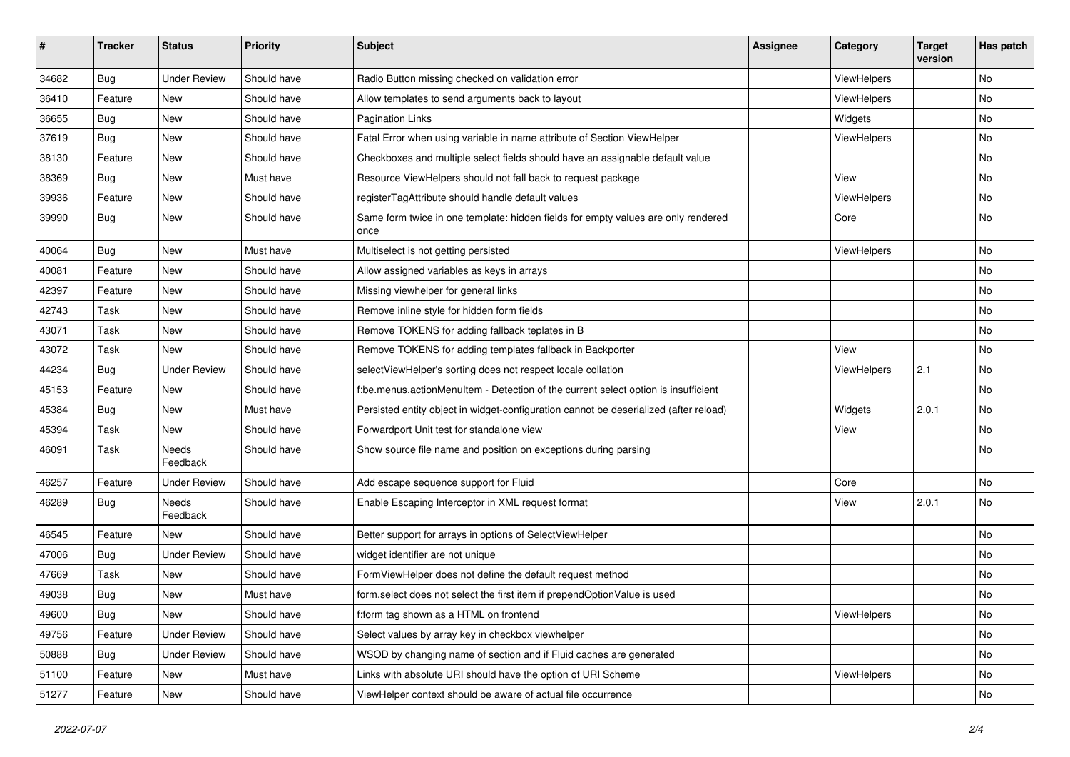| #     | <b>Tracker</b> | <b>Status</b>       | <b>Priority</b> | Subject                                                                                   | Assignee | Category    | <b>Target</b><br>version | Has patch     |
|-------|----------------|---------------------|-----------------|-------------------------------------------------------------------------------------------|----------|-------------|--------------------------|---------------|
| 34682 | Bug            | <b>Under Review</b> | Should have     | Radio Button missing checked on validation error                                          |          | ViewHelpers |                          | No            |
| 36410 | Feature        | New                 | Should have     | Allow templates to send arguments back to layout                                          |          | ViewHelpers |                          | No            |
| 36655 | Bug            | New                 | Should have     | <b>Pagination Links</b>                                                                   |          | Widgets     |                          | No            |
| 37619 | Bug            | New                 | Should have     | Fatal Error when using variable in name attribute of Section ViewHelper                   |          | ViewHelpers |                          | No            |
| 38130 | Feature        | New                 | Should have     | Checkboxes and multiple select fields should have an assignable default value             |          |             |                          | No            |
| 38369 | Bug            | <b>New</b>          | Must have       | Resource ViewHelpers should not fall back to request package                              |          | View        |                          | No            |
| 39936 | Feature        | New                 | Should have     | registerTagAttribute should handle default values                                         |          | ViewHelpers |                          | No            |
| 39990 | Bug            | New                 | Should have     | Same form twice in one template: hidden fields for empty values are only rendered<br>once |          | Core        |                          | No            |
| 40064 | Bug            | New                 | Must have       | Multiselect is not getting persisted                                                      |          | ViewHelpers |                          | No            |
| 40081 | Feature        | New                 | Should have     | Allow assigned variables as keys in arrays                                                |          |             |                          | No            |
| 42397 | Feature        | New                 | Should have     | Missing viewhelper for general links                                                      |          |             |                          | No            |
| 42743 | Task           | New                 | Should have     | Remove inline style for hidden form fields                                                |          |             |                          | No            |
| 43071 | Task           | <b>New</b>          | Should have     | Remove TOKENS for adding fallback teplates in B                                           |          |             |                          | No            |
| 43072 | Task           | New                 | Should have     | Remove TOKENS for adding templates fallback in Backporter                                 |          | View        |                          | No            |
| 44234 | Bug            | <b>Under Review</b> | Should have     | selectViewHelper's sorting does not respect locale collation                              |          | ViewHelpers | 2.1                      | No            |
| 45153 | Feature        | New                 | Should have     | f:be.menus.actionMenuItem - Detection of the current select option is insufficient        |          |             |                          | No            |
| 45384 | Bug            | New                 | Must have       | Persisted entity object in widget-configuration cannot be deserialized (after reload)     |          | Widgets     | 2.0.1                    | No            |
| 45394 | Task           | New                 | Should have     | Forwardport Unit test for standalone view                                                 |          | View        |                          | No            |
| 46091 | Task           | Needs<br>Feedback   | Should have     | Show source file name and position on exceptions during parsing                           |          |             |                          | No            |
| 46257 | Feature        | <b>Under Review</b> | Should have     | Add escape sequence support for Fluid                                                     |          | Core        |                          | No            |
| 46289 | Bug            | Needs<br>Feedback   | Should have     | Enable Escaping Interceptor in XML request format                                         |          | View        | 2.0.1                    | No            |
| 46545 | Feature        | <b>New</b>          | Should have     | Better support for arrays in options of SelectViewHelper                                  |          |             |                          | No            |
| 47006 | <b>Bug</b>     | <b>Under Review</b> | Should have     | widget identifier are not unique                                                          |          |             |                          | No            |
| 47669 | Task           | New                 | Should have     | FormViewHelper does not define the default request method                                 |          |             |                          | No            |
| 49038 | <b>Bug</b>     | New                 | Must have       | form.select does not select the first item if prependOptionValue is used                  |          |             |                          | No            |
| 49600 | <b>Bug</b>     | New                 | Should have     | f:form tag shown as a HTML on frontend                                                    |          | ViewHelpers |                          | $\mathsf{No}$ |
| 49756 | Feature        | <b>Under Review</b> | Should have     | Select values by array key in checkbox viewhelper                                         |          |             |                          | No            |
| 50888 | Bug            | <b>Under Review</b> | Should have     | WSOD by changing name of section and if Fluid caches are generated                        |          |             |                          | No            |
| 51100 | Feature        | New                 | Must have       | Links with absolute URI should have the option of URI Scheme                              |          | ViewHelpers |                          | No            |
| 51277 | Feature        | New                 | Should have     | ViewHelper context should be aware of actual file occurrence                              |          |             |                          | No            |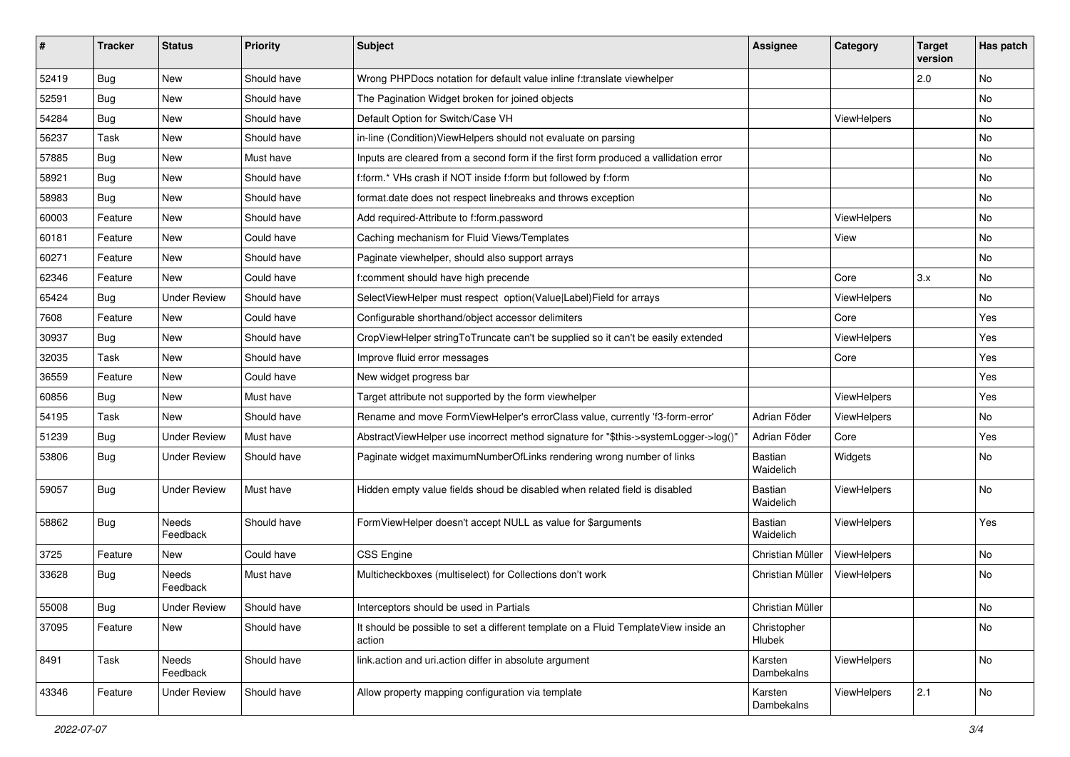| #     | <b>Tracker</b> | <b>Status</b>       | <b>Priority</b> | <b>Subject</b>                                                                                | <b>Assignee</b>             | Category    | <b>Target</b><br>version | Has patch |
|-------|----------------|---------------------|-----------------|-----------------------------------------------------------------------------------------------|-----------------------------|-------------|--------------------------|-----------|
| 52419 | Bug            | New                 | Should have     | Wrong PHPDocs notation for default value inline f:translate viewhelper                        |                             |             | 2.0                      | No        |
| 52591 | Bug            | New                 | Should have     | The Pagination Widget broken for joined objects                                               |                             |             |                          | No        |
| 54284 | Bug            | New                 | Should have     | Default Option for Switch/Case VH                                                             |                             | ViewHelpers |                          | No        |
| 56237 | Task           | New                 | Should have     | in-line (Condition) View Helpers should not evaluate on parsing                               |                             |             |                          | No        |
| 57885 | Bug            | New                 | Must have       | Inputs are cleared from a second form if the first form produced a vallidation error          |                             |             |                          | No        |
| 58921 | Bug            | New                 | Should have     | f:form.* VHs crash if NOT inside f:form but followed by f:form                                |                             |             |                          | <b>No</b> |
| 58983 | Bug            | New                 | Should have     | format.date does not respect linebreaks and throws exception                                  |                             |             |                          | No        |
| 60003 | Feature        | New                 | Should have     | Add required-Attribute to f:form.password                                                     |                             | ViewHelpers |                          | No        |
| 60181 | Feature        | New                 | Could have      | Caching mechanism for Fluid Views/Templates                                                   |                             | View        |                          | No        |
| 60271 | Feature        | New                 | Should have     | Paginate viewhelper, should also support arrays                                               |                             |             |                          | No        |
| 62346 | Feature        | New                 | Could have      | f:comment should have high precende                                                           |                             | Core        | 3.x                      | No        |
| 65424 | Bug            | <b>Under Review</b> | Should have     | SelectViewHelper must respect option(Value Label)Field for arrays                             |                             | ViewHelpers |                          | No        |
| 7608  | Feature        | New                 | Could have      | Configurable shorthand/object accessor delimiters                                             |                             | Core        |                          | Yes       |
| 30937 | Bug            | New                 | Should have     | CropViewHelper stringToTruncate can't be supplied so it can't be easily extended              |                             | ViewHelpers |                          | Yes       |
| 32035 | Task           | New                 | Should have     | Improve fluid error messages                                                                  |                             | Core        |                          | Yes       |
| 36559 | Feature        | New                 | Could have      | New widget progress bar                                                                       |                             |             |                          | Yes       |
| 60856 | Bug            | New                 | Must have       | Target attribute not supported by the form viewhelper                                         |                             | ViewHelpers |                          | Yes       |
| 54195 | Task           | New                 | Should have     | Rename and move FormViewHelper's errorClass value, currently 'f3-form-error'                  | Adrian Föder                | ViewHelpers |                          | No        |
| 51239 | Bug            | <b>Under Review</b> | Must have       | AbstractViewHelper use incorrect method signature for "\$this->systemLogger->log()"           | Adrian Föder                | Core        |                          | Yes       |
| 53806 | Bug            | <b>Under Review</b> | Should have     | Paginate widget maximumNumberOfLinks rendering wrong number of links                          | Bastian<br>Waidelich        | Widgets     |                          | No        |
| 59057 | Bug            | <b>Under Review</b> | Must have       | Hidden empty value fields shoud be disabled when related field is disabled                    | <b>Bastian</b><br>Waidelich | ViewHelpers |                          | No        |
| 58862 | Bug            | Needs<br>Feedback   | Should have     | FormViewHelper doesn't accept NULL as value for \$arguments                                   | Bastian<br>Waidelich        | ViewHelpers |                          | Yes       |
| 3725  | Feature        | New                 | Could have      | CSS Engine                                                                                    | Christian Müller            | ViewHelpers |                          | No        |
| 33628 | Bug            | Needs<br>Feedback   | Must have       | Multicheckboxes (multiselect) for Collections don't work                                      | Christian Müller            | ViewHelpers |                          | No        |
| 55008 | Bug            | <b>Under Review</b> | Should have     | Interceptors should be used in Partials                                                       | Christian Müller            |             |                          | No.       |
| 37095 | Feature        | New                 | Should have     | It should be possible to set a different template on a Fluid TemplateView inside an<br>action | Christopher<br>Hlubek       |             |                          | No        |
| 8491  | Task           | Needs<br>Feedback   | Should have     | link.action and uri.action differ in absolute argument                                        | Karsten<br>Dambekalns       | ViewHelpers |                          | No        |
| 43346 | Feature        | <b>Under Review</b> | Should have     | Allow property mapping configuration via template                                             | Karsten<br>Dambekalns       | ViewHelpers | 2.1                      | No        |